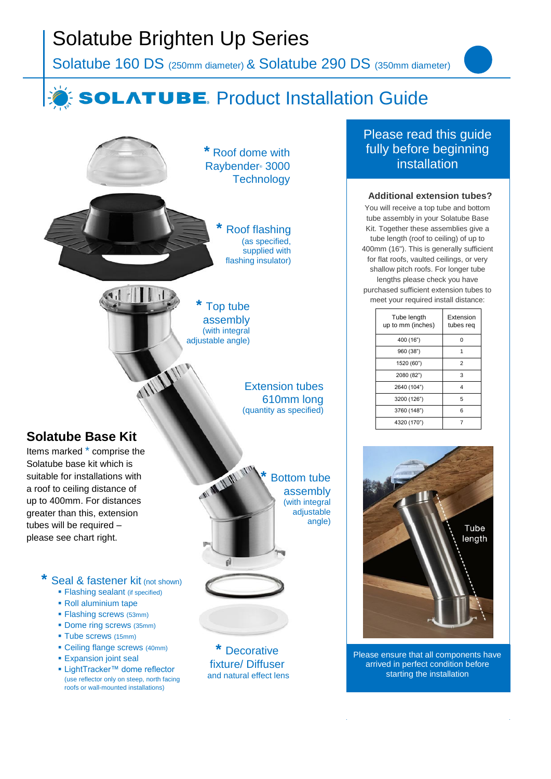# Solatube Brighten Up Series

Solatube 160 DS (250mm diameter) & Solatube 290 DS (350mm diameter)

## **SOLATUBE.** Product Installation Guide

**\*** Roof dome with Raybender® 3000 **Technology** 

> **\*** Roof flashing (as specified, supplied with flashing insulator)

**\*** Top tube assembly (with integral adjustable angle)

WWW

éÌ

Extension tubes 610mm long (quantity as specified)

### **Solatube Base Kit**

Items marked \* comprise the Solatube base kit which is suitable for installations with a roof to ceiling distance of up to 400mm. For distances greater than this, extension tubes will be required – please see chart right.

### **Seal & fastener kit (not shown)**

- **Example 3** Flashing sealant (if specified)
- Roll aluminium tape
- Flashing screws (53mm)
- Dome ring screws (35mm)
- **Tube screws (15mm)**
- Ceiling flange screws (40mm)
- **Expansion joint seal**
- LightTracker™ dome reflector (use reflector only on steep, north facing roofs or wall-mounted installations)

**\*** Bottom tube assembly (with integral adjustable angle)

**\*** Decorative fixture/ Diffuser and natural effect lens

### Please read this guide fully before beginning installation

#### **Additional extension tubes?**

You will receive a top tube and bottom tube assembly in your Solatube Base Kit. Together these assemblies give a tube length (roof to ceiling) of up to 400mm (16"). This is generally sufficient for flat roofs, vaulted ceilings, or very shallow pitch roofs. For longer tube lengths please check you have purchased sufficient extension tubes to meet your required install distance:

| Tube length<br>up to mm (inches) | Extension<br>tubes req |
|----------------------------------|------------------------|
| 400 (16")                        | 0                      |
| 960 (38")                        |                        |
| 1520 (60")                       | $\overline{2}$         |
| 2080 (82")                       | 3                      |
| 2640 (104")                      | 4                      |
| 3200 (126")                      | 5                      |
| 3760 (148")                      | 6                      |
| 4320 (170")                      |                        |



Please ensure that all components have arrived in perfect condition before starting the installation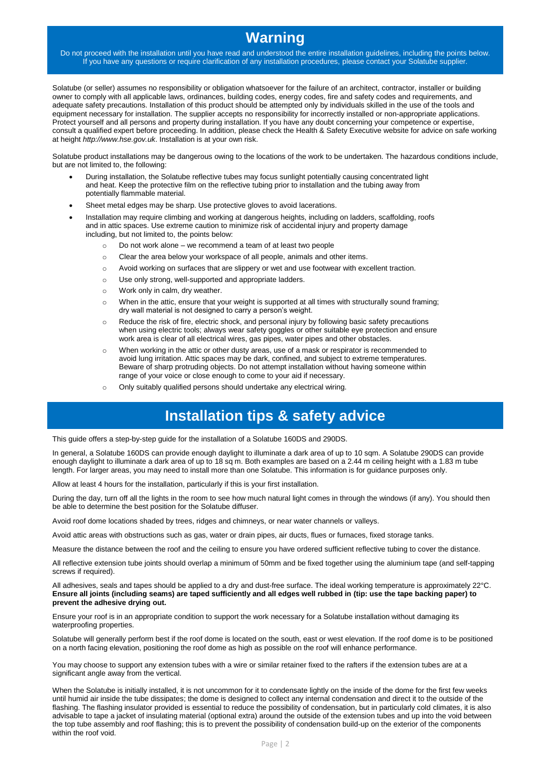## **Warning**

Do not proceed with the installation until you have read and understood the entire installation guidelines, including the points below. If you have any questions or require clarification of any installation procedures, please contact your Solatube supplier.

Solatube (or seller) assumes no responsibility or obligation whatsoever for the failure of an architect, contractor, installer or building owner to comply with all applicable laws, ordinances, building codes, energy codes, fire and safety codes and requirements, and adequate safety precautions. Installation of this product should be attempted only by individuals skilled in the use of the tools and equipment necessary for installation. The supplier accepts no responsibility for incorrectly installed or non-appropriate applications. Protect yourself and all persons and property during installation. If you have any doubt concerning your competence or expertise, consult a qualified expert before proceeding. In addition, please check the Health & Safety Executive website for advice on safe working at height *http://www.hse.gov.uk*. Installation is at your own risk.

Solatube product installations may be dangerous owing to the locations of the work to be undertaken. The hazardous conditions include, but are not limited to, the following:

- During installation, the Solatube reflective tubes may focus sunlight potentially causing concentrated light and heat. Keep the protective film on the reflective tubing prior to installation and the tubing away from potentially flammable material.
- Sheet metal edges may be sharp. Use protective gloves to avoid lacerations.
- Installation may require climbing and working at dangerous heights, including on ladders, scaffolding, roofs and in attic spaces. Use extreme caution to minimize risk of accidental injury and property damage including, but not limited to, the points below:
	- o Do not work alone we recommend a team of at least two people
	- o Clear the area below your workspace of all people, animals and other items.
	- o Avoid working on surfaces that are slippery or wet and use footwear with excellent traction.
	- o Use only strong, well-supported and appropriate ladders.
	- o Work only in calm, dry weather.
	- o When in the attic, ensure that your weight is supported at all times with structurally sound framing; dry wall material is not designed to carry a person's weight.
	- o Reduce the risk of fire, electric shock, and personal injury by following basic safety precautions when using electric tools; always wear safety goggles or other suitable eye protection and ensure work area is clear of all electrical wires, gas pipes, water pipes and other obstacles.
	- o When working in the attic or other dusty areas, use of a mask or respirator is recommended to avoid lung irritation. Attic spaces may be dark, confined, and subject to extreme temperatures. Beware of sharp protruding objects. Do not attempt installation without having someone within range of your voice or close enough to come to your aid if necessary.
	- o Only suitably qualified persons should undertake any electrical wiring.

## **Installation tips & safety advice**

This guide offers a step-by-step guide for the installation of a Solatube 160DS and 290DS.

In general, a Solatube 160DS can provide enough daylight to illuminate a dark area of up to 10 sqm. A Solatube 290DS can provide enough daylight to illuminate a dark area of up to 18 sq m. Both examples are based on a 2.44 m ceiling height with a 1.83 m tube length. For larger areas, you may need to install more than one Solatube. This information is for guidance purposes only.

Allow at least 4 hours for the installation, particularly if this is your first installation.

During the day, turn off all the lights in the room to see how much natural light comes in through the windows (if any). You should then be able to determine the best position for the Solatube diffuser.

Avoid roof dome locations shaded by trees, ridges and chimneys, or near water channels or valleys.

Avoid attic areas with obstructions such as gas, water or drain pipes, air ducts, flues or furnaces, fixed storage tanks.

Measure the distance between the roof and the ceiling to ensure you have ordered sufficient reflective tubing to cover the distance.

All reflective extension tube joints should overlap a minimum of 50mm and be fixed together using the aluminium tape (and self-tapping screws if required).

All adhesives, seals and tapes should be applied to a dry and dust-free surface. The ideal working temperature is approximately 22°C. **Ensure all joints (including seams) are taped sufficiently and all edges well rubbed in (tip: use the tape backing paper) to prevent the adhesive drying out.**

Ensure your roof is in an appropriate condition to support the work necessary for a Solatube installation without damaging its waterproofing properties.

Solatube will generally perform best if the roof dome is located on the south, east or west elevation. If the roof dome is to be positioned on a north facing elevation, positioning the roof dome as high as possible on the roof will enhance performance.

You may choose to support any extension tubes with a wire or similar retainer fixed to the rafters if the extension tubes are at a significant angle away from the vertical.

When the Solatube is initially installed, it is not uncommon for it to condensate lightly on the inside of the dome for the first few weeks until humid air inside the tube dissipates; the dome is designed to collect any internal condensation and direct it to the outside of the flashing. The flashing insulator provided is essential to reduce the possibility of condensation, but in particularly cold climates, it is also advisable to tape a jacket of insulating material (optional extra) around the outside of the extension tubes and up into the void between the top tube assembly and roof flashing; this is to prevent the possibility of condensation build-up on the exterior of the components within the roof void.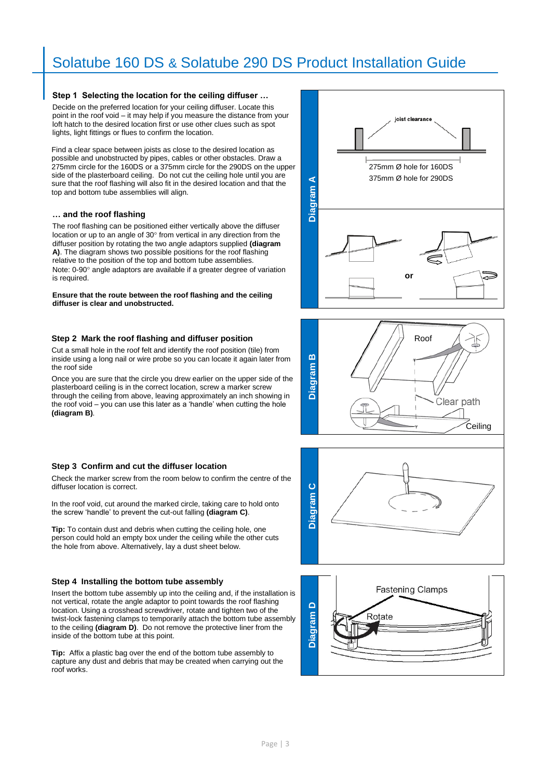#### **Step 1 Selecting the location for the ceiling diffuser …**

Decide on the preferred location for your ceiling diffuser. Locate this point in the roof void – it may help if you measure the distance from your loft hatch to the desired location first or use other clues such as spot lights, light fittings or flues to confirm the location.

Find a clear space between joists as close to the desired location as possible and unobstructed by pipes, cables or other obstacles. Draw a 275mm circle for the 160DS or a 375mm circle for the 290DS on the upper side of the plasterboard ceiling. Do not cut the ceiling hole until you are sure that the roof flashing will also fit in the desired location and that the top and bottom tube assemblies will align.

#### **… and the roof flashing**

The roof flashing can be positioned either vertically above the diffuser location or up to an angle of 30° from vertical in any direction from the diffuser position by rotating the two angle adaptors supplied **(diagram A)**. The diagram shows two possible positions for the roof flashing relative to the position of the top and bottom tube assemblies. Note: 0-90° angle adaptors are available if a greater degree of variation is required.

**Ensure that the route between the roof flashing and the ceiling diffuser is clear and unobstructed.** 

#### **Step 2 Mark the roof flashing and diffuser position**

Cut a small hole in the roof felt and identify the roof position (tile) from inside using a long nail or wire probe so you can locate it again later from the roof side

Once you are sure that the circle you drew earlier on the upper side of the plasterboard ceiling is in the correct location, screw a marker screw through the ceiling from above, leaving approximately an inch showing in the roof void – you can use this later as a 'handle' when cutting the hole **(diagram B)**.

#### **Step 3 Confirm and cut the diffuser location**

Check the marker screw from the room below to confirm the centre of the diffuser location is correct.

In the roof void, cut around the marked circle, taking care to hold onto the screw 'handle' to prevent the cut-out falling **(diagram C)**.

**Tip:** To contain dust and debris when cutting the ceiling hole, one person could hold an empty box under the ceiling while the other cuts the hole from above. Alternatively, lay a dust sheet below.

#### **Step 4 Installing the bottom tube assembly**

Insert the bottom tube assembly up into the ceiling and, if the installation is not vertical, rotate the angle adaptor to point towards the roof flashing location. Using a crosshead screwdriver, rotate and tighten two of the twist-lock fastening clamps to temporarily attach the bottom tube assembly to the ceiling **(diagram D)**. Do not remove the protective liner from the inside of the bottom tube at this point.

**Tip:** Affix a plastic bag over the end of the bottom tube assembly to capture any dust and debris that may be created when carrying out the roof works.







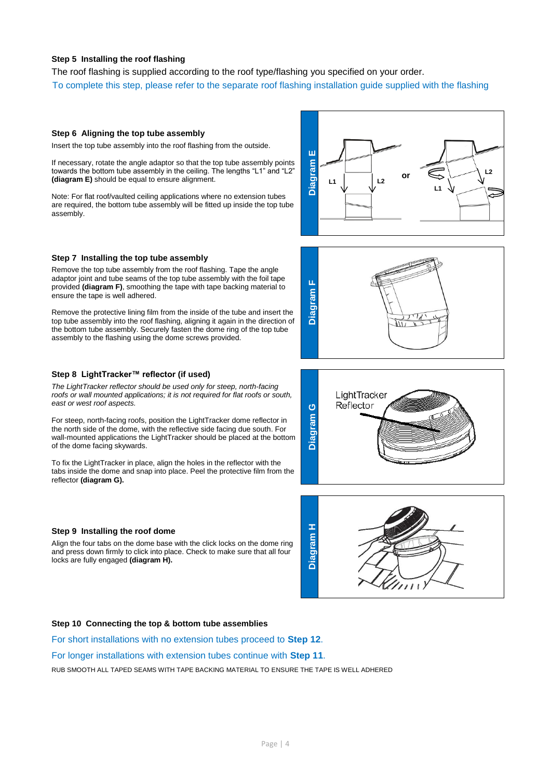#### **Step 5 Installing the roof flashing**

The roof flashing is supplied according to the roof type/flashing you specified on your order. To complete this step, please refer to the separate roof flashing installation guide supplied with the flashing

#### **Step 6 Aligning the top tube assembly**

Insert the top tube assembly into the roof flashing from the outside.

If necessary, rotate the angle adaptor so that the top tube assembly points towards the bottom tube assembly in the ceiling. The lengths "L1" and "L2" **(diagram E)** should be equal to ensure alignment.

Note: For flat roof/vaulted ceiling applications where no extension tubes are required, the bottom tube assembly will be fitted up inside the top tube assembly.

#### **Step 7 Installing the top tube assembly**

Remove the top tube assembly from the roof flashing. Tape the angle adaptor joint and tube seams of the top tube assembly with the foil tape provided **(diagram F)**, smoothing the tape with tape backing material to ensure the tape is well adhered.

Remove the protective lining film from the inside of the tube and insert the top tube assembly into the roof flashing, aligning it again in the direction of the bottom tube assembly. Securely fasten the dome ring of the top tube assembly to the flashing using the dome screws provided.

#### **Step 8 LightTracker™ reflector (if used)**

*The LightTracker reflector should be used only for steep, north-facing roofs or wall mounted applications; it is not required for flat roofs or south, east or west roof aspects.*

For steep, north-facing roofs, position the LightTracker dome reflector in the north side of the dome, with the reflective side facing due south. For wall-mounted applications the LightTracker should be placed at the bottom of the dome facing skywards.

To fix the LightTracker in place, align the holes in the reflector with the tabs inside the dome and snap into place. Peel the protective film from the reflector **(diagram G).**

#### **Step 9 Installing the roof dome**

Align the four tabs on the dome base with the click locks on the dome ring and press down firmly to click into place. Check to make sure that all four locks are fully engaged **(diagram H).**









#### **Step 10 Connecting the top & bottom tube assemblies**

For short installations with no extension tubes proceed to **Step 12**.

#### For longer installations with extension tubes continue with **Step 11**.

RUB SMOOTH ALL TAPED SEAMS WITH TAPE BACKING MATERIAL TO ENSURE THE TAPE IS WELL ADHERED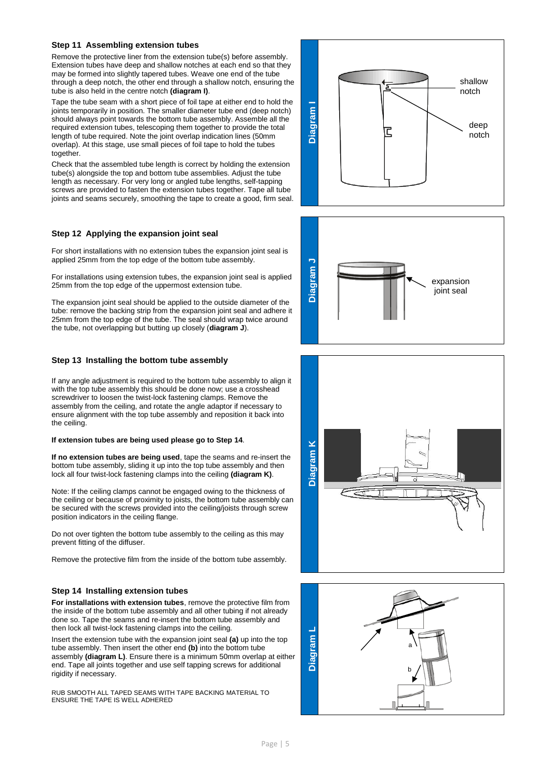#### **Step 11 Assembling extension tubes**

Remove the protective liner from the extension tube(s) before assembly. Extension tubes have deep and shallow notches at each end so that they may be formed into slightly tapered tubes. Weave one end of the tube through a deep notch, the other end through a shallow notch, ensuring the tube is also held in the centre notch **(diagram I)**.

Tape the tube seam with a short piece of foil tape at either end to hold the joints temporarily in position. The smaller diameter tube end (deep notch) should always point towards the bottom tube assembly. Assemble all the required extension tubes, telescoping them together to provide the total length of tube required. Note the joint overlap indication lines (50mm overlap). At this stage, use small pieces of foil tape to hold the tubes together.

Check that the assembled tube length is correct by holding the extension tube(s) alongside the top and bottom tube assemblies. Adjust the tube length as necessary. For very long or angled tube lengths, self-tapping screws are provided to fasten the extension tubes together. Tape all tube joints and seams securely, smoothing the tape to create a good, firm seal.

#### **Step 12 Applying the expansion joint seal**

For short installations with no extension tubes the expansion joint seal is applied 25mm from the top edge of the bottom tube assembly.

For installations using extension tubes, the expansion joint seal is applied 25mm from the top edge of the uppermost extension tube.

The expansion joint seal should be applied to the outside diameter of the tube: remove the backing strip from the expansion joint seal and adhere it 25mm from the top edge of the tube. The seal should wrap twice around the tube, not overlapping but butting up closely (**diagram J**).

#### **Step 13 Installing the bottom tube assembly**

If any angle adjustment is required to the bottom tube assembly to align it with the top tube assembly this should be done now; use a crosshead screwdriver to loosen the twist-lock fastening clamps. Remove the assembly from the ceiling, and rotate the angle adaptor if necessary to ensure alignment with the top tube assembly and reposition it back into the ceiling.

#### **If extension tubes are being used please go to Step 14**.

**If no extension tubes are being used**, tape the seams and re-insert the bottom tube assembly, sliding it up into the top tube assembly and then lock all four twist-lock fastening clamps into the ceiling **(diagram K)**.

Note: If the ceiling clamps cannot be engaged owing to the thickness of the ceiling or because of proximity to joists, the bottom tube assembly can be secured with the screws provided into the ceiling/joists through screw position indicators in the ceiling flange.

Do not over tighten the bottom tube assembly to the ceiling as this may prevent fitting of the diffuser.

Remove the protective film from the inside of the bottom tube assembly.

#### **Step 14 Installing extension tubes**

**For installations with extension tubes**, remove the protective film from the inside of the bottom tube assembly and all other tubing if not already done so. Tape the seams and re-insert the bottom tube assembly and then lock all twist-lock fastening clamps into the ceiling.

Insert the extension tube with the expansion joint seal **(a)** up into the top tube assembly. Then insert the other end **(b)** into the bottom tube assembly **(diagram L)**. Ensure there is a minimum 50mm overlap at either end. Tape all joints together and use self tapping screws for additional rigidity if necessary.

RUB SMOOTH ALL TAPED SEAMS WITH TAPE BACKING MATERIAL TO ENSURE THE TAPE IS WELL ADHERED